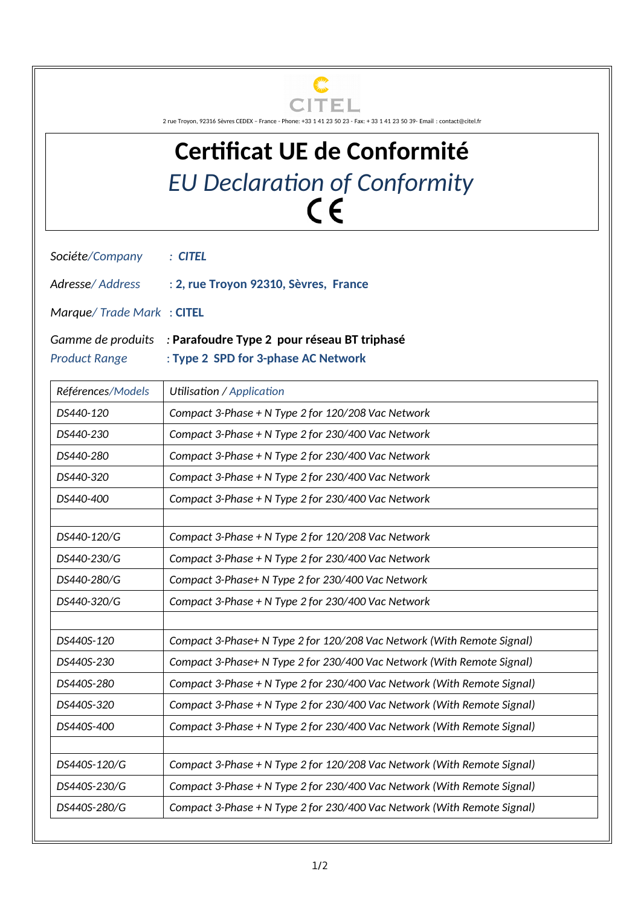

2 rue Troyon, 92316 Sèvres CEDEX – France - Phone: +33 1 41 23 50 23 - Fax: + 33 1 41 23 50 39- Email : contact@citel.fr

## **Certificat UE de Conformité** *EU Declaration of Conformity*

*Sociéte/Company : CITEL*

*Adresse/ Address* : **2, rue Troyon 92310, Sèvres, France**

*Marque/ Trade Mark* : **CITEL**

*Gamme de produits :* **Parafoudre Type 2 pour réseau BT triphasé**

*Product Range* : **Type 2 SPD for 3-phase AC Network**

| Références/Models | Utilisation / Application                                               |
|-------------------|-------------------------------------------------------------------------|
| DS440-120         | Compact 3-Phase + N Type 2 for 120/208 Vac Network                      |
| DS440-230         | Compact 3-Phase + N Type 2 for 230/400 Vac Network                      |
| DS440-280         | Compact 3-Phase + N Type 2 for 230/400 Vac Network                      |
| DS440-320         | Compact 3-Phase + N Type 2 for 230/400 Vac Network                      |
| DS440-400         | Compact 3-Phase + N Type 2 for 230/400 Vac Network                      |
| DS440-120/G       | Compact 3-Phase + N Type 2 for 120/208 Vac Network                      |
| DS440-230/G       | Compact 3-Phase + N Type 2 for 230/400 Vac Network                      |
| DS440-280/G       | Compact 3-Phase+ N Type 2 for 230/400 Vac Network                       |
| DS440-320/G       | Compact 3-Phase + N Type 2 for 230/400 Vac Network                      |
| DS440S-120        | Compact 3-Phase+ N Type 2 for 120/208 Vac Network (With Remote Signal)  |
| DS440S-230        | Compact 3-Phase+ N Type 2 for 230/400 Vac Network (With Remote Signal)  |
| DS440S-280        | Compact 3-Phase + N Type 2 for 230/400 Vac Network (With Remote Signal) |
| DS440S-320        | Compact 3-Phase + N Type 2 for 230/400 Vac Network (With Remote Signal) |
| DS440S-400        | Compact 3-Phase + N Type 2 for 230/400 Vac Network (With Remote Signal) |
|                   |                                                                         |
| DS440S-120/G      | Compact 3-Phase + N Type 2 for 120/208 Vac Network (With Remote Signal) |
| DS440S-230/G      | Compact 3-Phase + N Type 2 for 230/400 Vac Network (With Remote Signal) |
| DS440S-280/G      | Compact 3-Phase + N Type 2 for 230/400 Vac Network (With Remote Signal) |